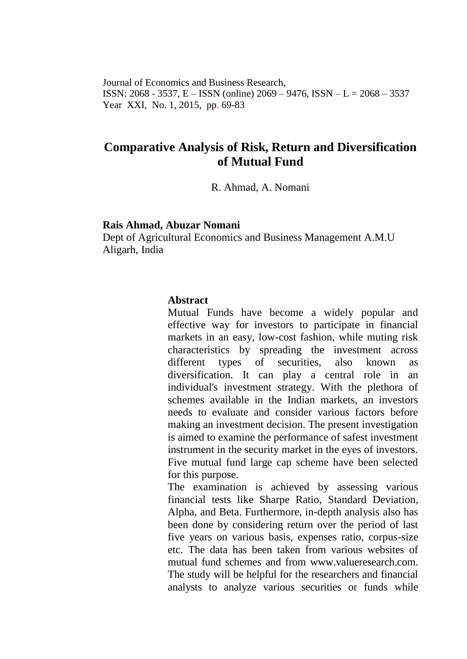Journal of Economics and Business Research, ISSN: 2068 - 3537, E – ISSN (online) 2069 – 9476, ISSN – L = 2068 – 3537 Year XXI, No. 1, 2015, pp. 69-83

# **Comparative Analysis of Risk, Return and Diversification of Mutual Fund**

R. Ahmad, A. Nomani

#### **Rais Ahmad, Abuzar Nomani**

Dept of Agricultural Economics and Business Management A.M.U Aligarh, India

#### **Abstract**

Mutual Funds have become a widely popular and effective way for investors to participate in financial markets in an easy, low-cost fashion, while muting risk characteristics by spreading the investment across different types of securities, also known as diversification. It can play a central role in an individual's investment strategy. With the plethora of schemes available in the Indian markets, an investors needs to evaluate and consider various factors before making an investment decision. The present investigation is aimed to examine the performance of safest investment instrument in the security market in the eyes of investors. Five mutual fund large cap scheme have been selected for this purpose.

The examination is achieved by assessing various financial tests like Sharpe Ratio, Standard Deviation, Alpha, and Beta. Furthermore, in-depth analysis also has been done by considering return over the period of last five years on various basis, expenses ratio, corpus-size etc. The data has been taken from various websites of mutual fund schemes and from [www.valueresearch.com.](http://www.valueresearch.com/) The study will be helpful for the researchers and financial analysts to analyze various securities or funds while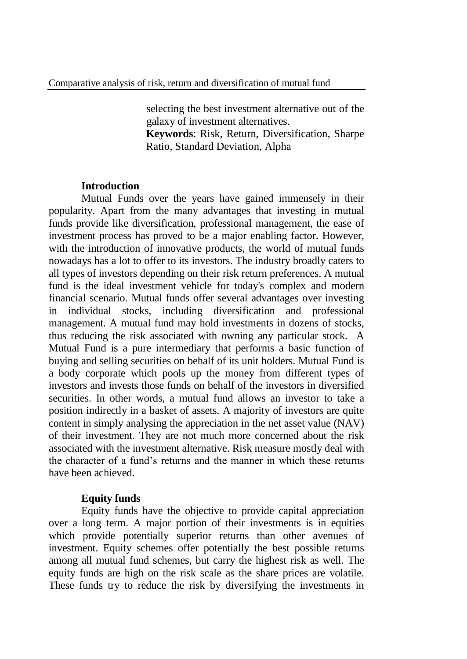selecting the best investment alternative out of the galaxy of investment alternatives.

**Keywords**: Risk, Return, Diversification, Sharpe Ratio, Standard Deviation, Alpha

### **Introduction**

Mutual Funds over the years have gained immensely in their popularity. Apart from the many advantages that investing in mutual funds provide like diversification, professional management, the ease of investment process has proved to be a major enabling factor. However, with the introduction of innovative products, the world of mutual funds nowadays has a lot to offer to its investors. The industry broadly caters to all types of investors depending on their risk return preferences. A mutual fund is the ideal investment vehicle for today's complex and modern financial scenario. Mutual funds offer several advantages over investing in individual stocks, including diversification and professional management. A mutual fund may hold investments in dozens of stocks, thus reducing the risk associated with owning any particular stock. A Mutual Fund is a pure intermediary that performs a basic function of buying and selling securities on behalf of its unit holders. Mutual Fund is a body corporate which pools up the money from different types of investors and invests those funds on behalf of the investors in diversified securities. In other words, a mutual fund allows an investor to take a position indirectly in a basket of assets. A majority of investors are quite content in simply analysing the appreciation in the net asset value (NAV) of their investment. They are not much more concerned about the risk associated with the investment alternative. Risk measure mostly deal with the character of a fund's returns and the manner in which these returns have been achieved.

# **Equity funds**

Equity funds have the objective to provide capital appreciation over a long term. A major portion of their investments is in equities which provide potentially superior returns than other avenues of investment. Equity schemes offer potentially the best possible returns among all mutual fund schemes, but carry the highest risk as well. The equity funds are high on the risk scale as the share prices are volatile. These funds try to reduce the risk by diversifying the investments in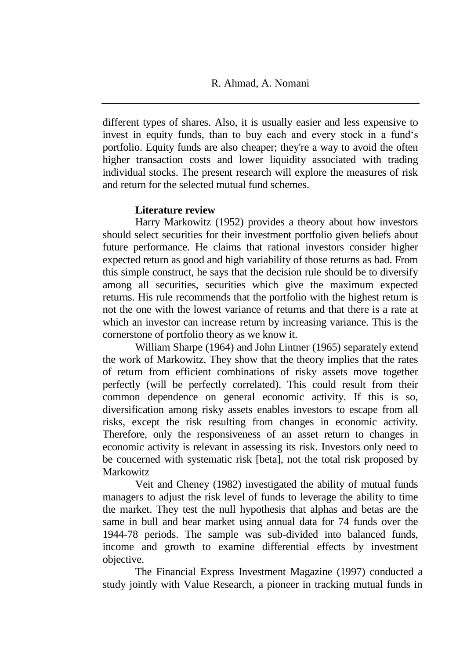different types of shares. Also, it is usually easier and less expensive to invest in equity funds, than to buy each and every stock in a fund's portfolio. Equity funds are also cheaper; they're a way to avoid the often higher transaction costs and lower liquidity associated with trading individual stocks. The present research will explore the measures of risk and return for the selected mutual fund schemes.

# **Literature review**

Harry Markowitz (1952) provides a theory about how investors should select securities for their investment portfolio given beliefs about future performance. He claims that rational investors consider higher expected return as good and high variability of those returns as bad. From this simple construct, he says that the decision rule should be to diversify among all securities, securities which give the maximum expected returns. His rule recommends that the portfolio with the highest return is not the one with the lowest variance of returns and that there is a rate at which an investor can increase return by increasing variance. This is the cornerstone of portfolio theory as we know it.

William Sharpe (1964) and John Lintner (1965) separately extend the work of Markowitz. They show that the theory implies that the rates of return from efficient combinations of risky assets move together perfectly (will be perfectly correlated). This could result from their common dependence on general economic activity. If this is so, diversification among risky assets enables investors to escape from all risks, except the risk resulting from changes in economic activity. Therefore, only the responsiveness of an asset return to changes in economic activity is relevant in assessing its risk. Investors only need to be concerned with systematic risk [beta], not the total risk proposed by **Markowitz** 

Veit and Cheney (1982) investigated the ability of mutual funds managers to adjust the risk level of funds to leverage the ability to time the market. They test the null hypothesis that alphas and betas are the same in bull and bear market using annual data for 74 funds over the 1944-78 periods. The sample was sub-divided into balanced funds, income and growth to examine differential effects by investment objective.

The Financial Express Investment Magazine (1997) conducted a study jointly with Value Research, a pioneer in tracking mutual funds in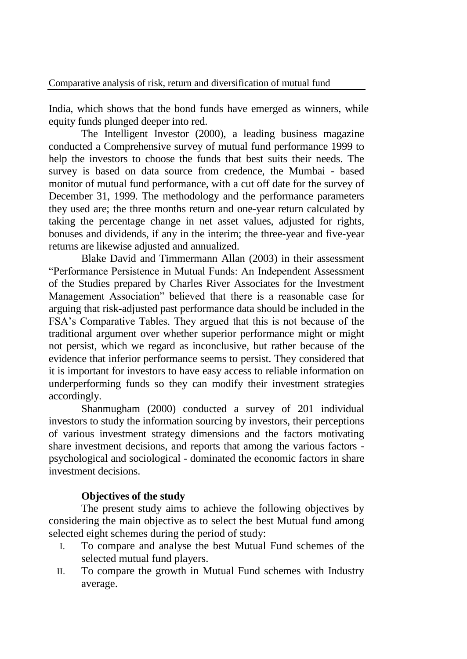India, which shows that the bond funds have emerged as winners, while equity funds plunged deeper into red.

The Intelligent Investor (2000), a leading business magazine conducted a Comprehensive survey of mutual fund performance 1999 to help the investors to choose the funds that best suits their needs. The survey is based on data source from credence, the Mumbai - based monitor of mutual fund performance, with a cut off date for the survey of December 31, 1999. The methodology and the performance parameters they used are; the three months return and one-year return calculated by taking the percentage change in net asset values, adjusted for rights, bonuses and dividends, if any in the interim; the three-year and five-year returns are likewise adjusted and annualized.

Blake David and Timmermann Allan (2003) in their assessment "Performance Persistence in Mutual Funds: An Independent Assessment of the Studies prepared by Charles River Associates for the Investment Management Association" believed that there is a reasonable case for arguing that risk-adjusted past performance data should be included in the FSA's Comparative Tables. They argued that this is not because of the traditional argument over whether superior performance might or might not persist, which we regard as inconclusive, but rather because of the evidence that inferior performance seems to persist. They considered that it is important for investors to have easy access to reliable information on underperforming funds so they can modify their investment strategies accordingly.

Shanmugham (2000) conducted a survey of 201 individual investors to study the information sourcing by investors, their perceptions of various investment strategy dimensions and the factors motivating share investment decisions, and reports that among the various factors psychological and sociological - dominated the economic factors in share investment decisions.

# **Objectives of the study**

The present study aims to achieve the following objectives by considering the main objective as to select the best Mutual fund among selected eight schemes during the period of study:

- I. To compare and analyse the best Mutual Fund schemes of the selected mutual fund players.
- II. To compare the growth in Mutual Fund schemes with Industry average.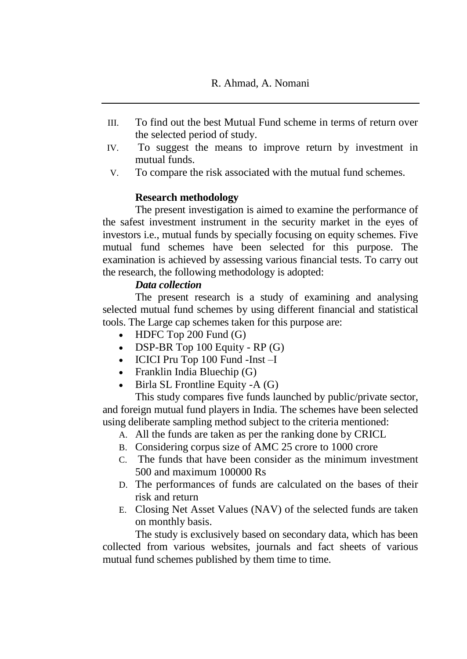- III. To find out the best Mutual Fund scheme in terms of return over the selected period of study.
- IV. To suggest the means to improve return by investment in mutual funds.
- V. To compare the risk associated with the mutual fund schemes.

# **Research methodology**

The present investigation is aimed to examine the performance of the safest investment instrument in the security market in the eyes of investors i.e., mutual funds by specially focusing on equity schemes. Five mutual fund schemes have been selected for this purpose. The examination is achieved by assessing various financial tests. To carry out the research, the following methodology is adopted:

# *Data collection*

The present research is a study of examining and analysing selected mutual fund schemes by using different financial and statistical tools. The Large cap schemes taken for this purpose are:

- $\bullet$  HDFC Top 200 Fund (G)
- DSP-BR Top  $100$  Equity RP  $(G)$
- ICICI Pru Top 100 Fund -Inst -I
- Franklin India Bluechip  $(G)$
- Birla SL Frontline Equity -A (G)

This study compares five funds launched by public/private sector, and foreign mutual fund players in India. The schemes have been selected using deliberate sampling method subject to the criteria mentioned:

- A. All the funds are taken as per the ranking done by CRICL
- B. Considering corpus size of AMC 25 crore to 1000 crore
- C. The funds that have been consider as the minimum investment 500 and maximum 100000 Rs
- D. The performances of funds are calculated on the bases of their risk and return
- E. Closing Net Asset Values (NAV) of the selected funds are taken on monthly basis.

The study is exclusively based on secondary data, which has been collected from various websites, journals and fact sheets of various mutual fund schemes published by them time to time.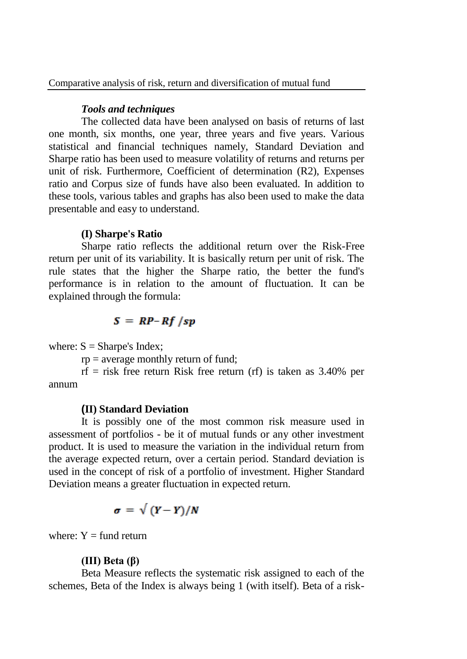# *Tools and techniques*

The collected data have been analysed on basis of returns of last one month, six months, one year, three years and five years. Various statistical and financial techniques namely, Standard Deviation and Sharpe ratio has been used to measure volatility of returns and returns per unit of risk. Furthermore, Coefficient of determination (R2), Expenses ratio and Corpus size of funds have also been evaluated. In addition to these tools, various tables and graphs has also been used to make the data presentable and easy to understand.

#### **(I) Sharpe's Ratio**

Sharpe ratio reflects the additional return over the Risk-Free return per unit of its variability. It is basically return per unit of risk. The rule states that the higher the Sharpe ratio, the better the fund's performance is in relation to the amount of fluctuation. It can be explained through the formula:

# $S = RP-Rf /sp$

where:  $S =$  Sharpe's Index;

 $rp = average$  monthly return of fund;

 $rf$  = risk free return Risk free return (rf) is taken as 3.40% per annum

#### **(II) Standard Deviation**

It is possibly one of the most common risk measure used in assessment of portfolios - be it of mutual funds or any other investment product. It is used to measure the variation in the individual return from the average expected return, over a certain period. Standard deviation is used in the concept of risk of a portfolio of investment. Higher Standard Deviation means a greater fluctuation in expected return.

$$
\sigma = \sqrt{(Y - Y)/N}
$$

where:  $Y = \text{fund return}$ 

#### **(III) Beta (β)**

Beta Measure reflects the systematic risk assigned to each of the schemes, Beta of the Index is always being 1 (with itself). Beta of a risk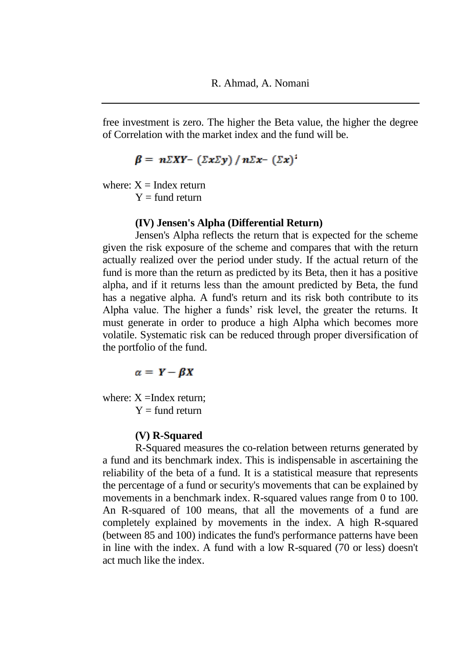free investment is zero. The higher the Beta value, the higher the degree of Correlation with the market index and the fund will be.

 $\beta = n\Sigma XY - (\Sigma x \Sigma y) / n\Sigma x - (\Sigma x)^2$ 

where:  $X = \text{Index return}$ 

 $Y = \text{fund return}$ 

#### **(IV) Jensen's Alpha (Differential Return)**

Jensen's Alpha reflects the return that is expected for the scheme given the risk exposure of the scheme and compares that with the return actually realized over the period under study. If the actual return of the fund is more than the return as predicted by its Beta, then it has a positive alpha, and if it returns less than the amount predicted by Beta, the fund has a negative alpha. A fund's return and its risk both contribute to its Alpha value. The higher a funds' risk level, the greater the returns. It must generate in order to produce a high Alpha which becomes more volatile. Systematic risk can be reduced through proper diversification of the portfolio of the fund.

$$
\alpha = Y - \beta X
$$

where:  $X = \text{Index return}$ :  $Y = \text{fund return}$ 

#### **(V) R-Squared**

R-Squared measures the co-relation between returns generated by a fund and its benchmark index. This is indispensable in ascertaining the reliability of the beta of a fund. It is a statistical measure that represents the percentage of a fund or security's movements that can be explained by movements in a benchmark index. R-squared values range from 0 to 100. An R-squared of 100 means, that all the movements of a fund are completely explained by movements in the index. A high R-squared (between 85 and 100) indicates the fund's performance patterns have been in line with the index. A fund with a low R-squared (70 or less) doesn't act much like the index.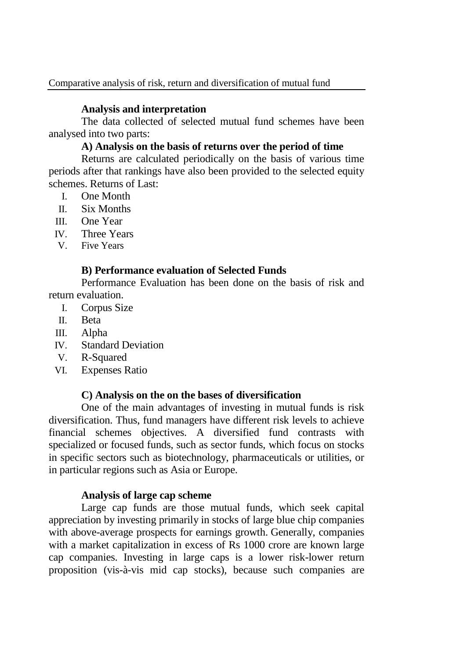# **Analysis and interpretation**

The data collected of selected mutual fund schemes have been analysed into two parts:

# **A) Analysis on the basis of returns over the period of time**

Returns are calculated periodically on the basis of various time periods after that rankings have also been provided to the selected equity schemes. Returns of Last:

- I. One Month
- II. Six Months
- III. One Year
- IV. Three Years
- V. Five Years

# **B) Performance evaluation of Selected Funds**

Performance Evaluation has been done on the basis of risk and return evaluation.

- I. Corpus Size
- II. Beta
- III. Alpha
- IV. Standard Deviation
- V. R-Squared
- VI. Expenses Ratio

# **C) Analysis on the on the bases of diversification**

One of the main advantages of investing in mutual funds is risk diversification. Thus, fund managers have different risk levels to achieve financial schemes objectives. A diversified fund contrasts with specialized or focused funds, such as sector funds, which focus on stocks in specific sectors such as biotechnology, pharmaceuticals or utilities, or in particular regions such as Asia or Europe.

# **Analysis of large cap scheme**

Large cap funds are those mutual funds, which seek capital appreciation by investing primarily in stocks of large blue chip companies with above-average prospects for earnings growth. Generally, companies with a market capitalization in excess of Rs 1000 crore are known large cap companies. Investing in large caps is a lower risk-lower return proposition (vis-à-vis mid cap stocks), because such companies are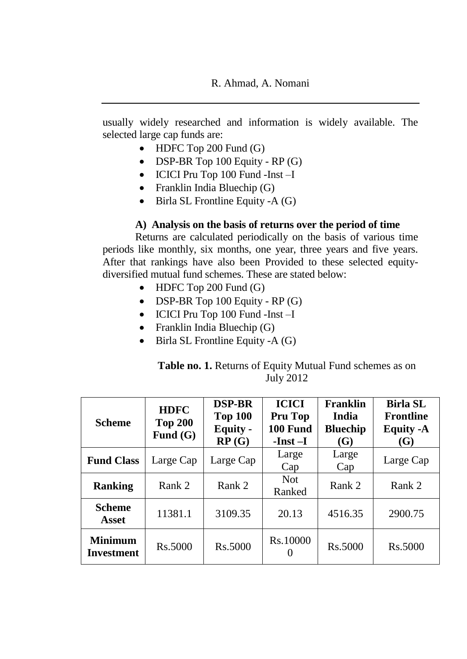usually widely researched and information is widely available. The selected large cap funds are:

- $\bullet$  HDFC Top 200 Fund (G)
- DSP-BR Top  $100$  Equity RP  $(G)$
- ICICI Pru Top 100 Fund -Inst -I
- Franklin India Bluechip (G)
- $\bullet$  Birla SL Frontline Equity -A (G)

### **A) Analysis on the basis of returns over the period of time**

Returns are calculated periodically on the basis of various time periods like monthly, six months, one year, three years and five years. After that rankings have also been Provided to these selected equitydiversified mutual fund schemes. These are stated below:

- $\bullet$  HDFC Top 200 Fund (G)
- $\bullet$  DSP-BR Top 100 Equity RP (G)
- ICICI Pru Top 100 Fund -Inst –I
- Franklin India Bluechip (G)
- $\bullet$  Birla SL Frontline Equity -A (G)

| <b>Table no. 1.</b> Returns of Equity Mutual Fund schemes as on |  |
|-----------------------------------------------------------------|--|
| <b>July 2012</b>                                                |  |

| <b>Scheme</b>                       | <b>HDFC</b><br><b>Top 200</b><br>Fund $(G)$ | <b>DSP-BR</b><br><b>Top 100</b><br><b>Equity -</b><br>RP(G) | <b>ICICI</b><br>Pru Top<br>100 Fund<br>$-Inst-I$ | Franklin<br>India<br><b>Bluechip</b><br><b>(G)</b> | <b>Birla SL</b><br><b>Frontline</b><br><b>Equity -A</b><br>(G) |
|-------------------------------------|---------------------------------------------|-------------------------------------------------------------|--------------------------------------------------|----------------------------------------------------|----------------------------------------------------------------|
| <b>Fund Class</b>                   | Large Cap                                   | Large Cap                                                   | Large<br>Cap                                     | Large<br>Cap                                       | Large Cap                                                      |
| <b>Ranking</b>                      | Rank 2                                      | Rank 2                                                      | <b>Not</b><br>Ranked                             | Rank 2                                             | Rank 2                                                         |
| <b>Scheme</b><br>Asset              | 11381.1                                     | 3109.35                                                     | 20.13                                            | 4516.35                                            | 2900.75                                                        |
| <b>Minimum</b><br><b>Investment</b> | Rs.5000                                     | Rs.5000                                                     | Rs.10000<br>$\mathbf{\Omega}$                    | Rs.5000                                            | Rs.5000                                                        |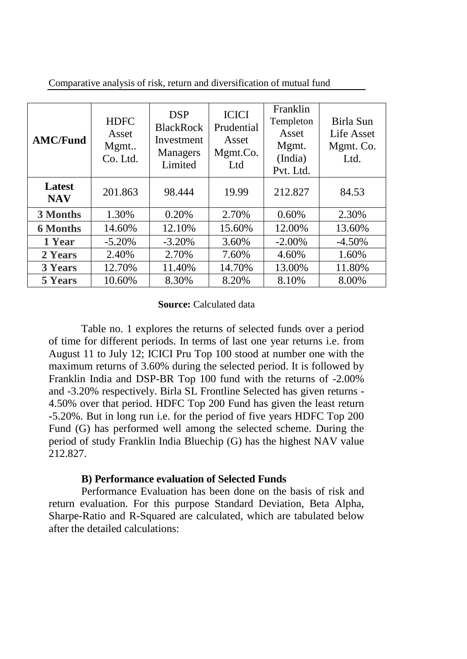| <b>AMC/Fund</b>      | <b>HDFC</b><br>Asset<br>Mgmt<br>Co. Ltd. | <b>DSP</b><br><b>BlackRock</b><br>Investment<br><b>Managers</b><br>Limited | <b>ICICI</b><br>Prudential<br>Asset<br>Mgmt.Co.<br>Ltd | Franklin<br>Templeton<br>Asset<br>Mgmt.<br>(India)<br>Pvt. Ltd. | Birla Sun<br>Life Asset<br>Mgmt. Co.<br>Ltd. |
|----------------------|------------------------------------------|----------------------------------------------------------------------------|--------------------------------------------------------|-----------------------------------------------------------------|----------------------------------------------|
| Latest<br><b>NAV</b> | 201.863                                  | 98.444                                                                     | 19.99                                                  | 212.827                                                         | 84.53                                        |
| 3 Months             | 1.30%                                    | 0.20%                                                                      | 2.70%                                                  | 0.60%                                                           | 2.30%                                        |
| <b>6 Months</b>      | 14.60%                                   | 12.10%                                                                     | 15.60%                                                 | 12.00%                                                          | 13.60%                                       |
| 1 Year               | $-5.20%$                                 | $-3.20%$                                                                   | 3.60%                                                  | $-2.00\%$                                                       | $-4.50%$                                     |
| 2 Years              | 2.40%                                    | 2.70%                                                                      | 7.60%                                                  | 4.60%                                                           | 1.60%                                        |
| <b>3 Years</b>       | 12.70%                                   | 11.40%                                                                     | 14.70%                                                 | 13.00%                                                          | 11.80%                                       |
| <b>5 Years</b>       | 10.60%                                   | 8.30%                                                                      | 8.20%                                                  | 8.10%                                                           | 8.00%                                        |

Comparative analysis of risk, return and diversification of mutual fund

#### **Source:** Calculated data

Table no. 1 explores the returns of selected funds over a period of time for different periods. In terms of last one year returns i.e. from August 11 to July 12; ICICI Pru Top 100 stood at number one with the maximum returns of 3.60% during the selected period. It is followed by Franklin India and DSP-BR Top 100 fund with the returns of -2.00% and -3.20% respectively. Birla SL Frontline Selected has given returns - 4.50% over that period. HDFC Top 200 Fund has given the least return -5.20%. But in long run i.e. for the period of five years HDFC Top 200 Fund (G) has performed well among the selected scheme. During the period of study Franklin India Bluechip (G) has the highest NAV value 212.827.

#### **B) Performance evaluation of Selected Funds**

Performance Evaluation has been done on the basis of risk and return evaluation. For this purpose Standard Deviation, Beta Alpha, Sharpe-Ratio and R-Squared are calculated, which are tabulated below after the detailed calculations: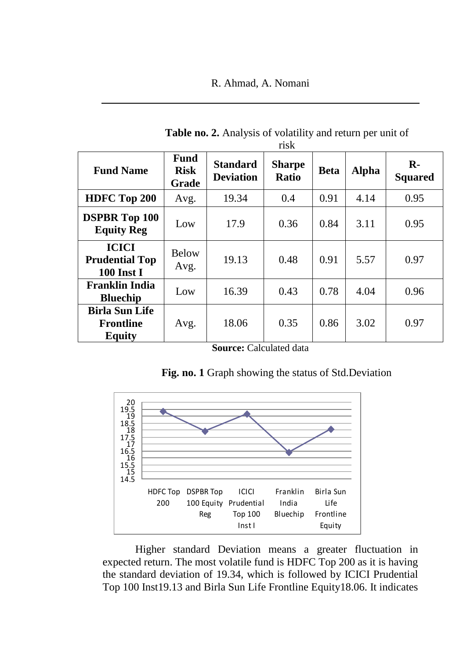# R. Ahmad, A. Nomani

| risk                                                       |                                            |                                     |                               |             |              |                                |
|------------------------------------------------------------|--------------------------------------------|-------------------------------------|-------------------------------|-------------|--------------|--------------------------------|
| <b>Fund Name</b>                                           | <b>Fund</b><br><b>Risk</b><br><b>Grade</b> | <b>Standard</b><br><b>Deviation</b> | <b>Sharpe</b><br><b>Ratio</b> | <b>Beta</b> | <b>Alpha</b> | $\mathbf{R}$<br><b>Squared</b> |
| HDFC Top 200                                               | Avg.                                       | 19.34                               | 0.4                           | 0.91        | 4.14         | 0.95                           |
| <b>DSPBR Top 100</b><br><b>Equity Reg</b>                  | Low                                        | 17.9                                | 0.36                          | 0.84        | 3.11         | 0.95                           |
| <b>ICICI</b><br><b>Prudential Top</b><br><b>100 Inst I</b> | <b>Below</b><br>Avg.                       | 19.13                               | 0.48                          | 0.91        | 5.57         | 0.97                           |
| <b>Franklin India</b><br><b>Bluechip</b>                   | Low                                        | 16.39                               | 0.43                          | 0.78        | 4.04         | 0.96                           |
| <b>Birla Sun Life</b><br>Frontline<br><b>Equity</b>        | Avg.                                       | 18.06                               | 0.35                          | 0.86        | 3.02         | 0.97                           |

**Table no. 2.** Analysis of volatility and return per unit of

**Source: Calculated data** 

|  |  |  |  |  | Fig. no. 1 Graph showing the status of Std.Deviation |  |
|--|--|--|--|--|------------------------------------------------------|--|
|--|--|--|--|--|------------------------------------------------------|--|



Higher standard Deviation means a greater fluctuation in expected return. The most volatile fund is HDFC Top 200 as it is having the standard deviation of 19.34, which is followed by ICICI Prudential Top 100 Inst19.13 and Birla Sun Life Frontline Equity18.06. It indicates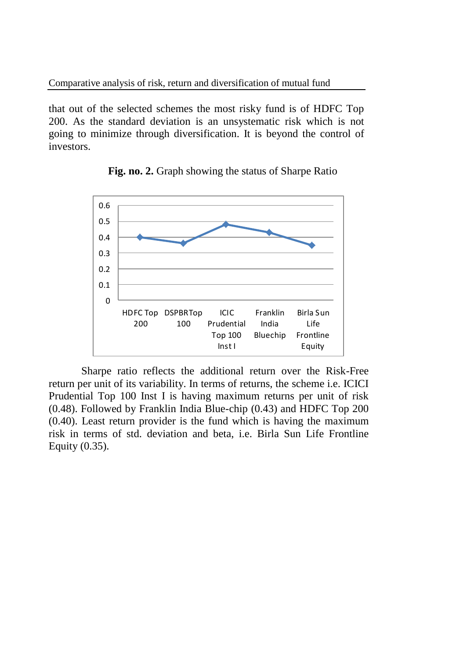that out of the selected schemes the most risky fund is of HDFC Top 200. As the standard deviation is an unsystematic risk which is not going to minimize through diversification. It is beyond the control of investors.



**Fig. no. 2.** Graph showing the status of Sharpe Ratio

Sharpe ratio reflects the additional return over the Risk-Free return per unit of its variability. In terms of returns, the scheme i.e. ICICI Prudential Top 100 Inst I is having maximum returns per unit of risk (0.48). Followed by Franklin India Blue-chip (0.43) and HDFC Top 200 (0.40). Least return provider is the fund which is having the maximum risk in terms of std. deviation and beta, i.e. Birla Sun Life Frontline Equity (0.35).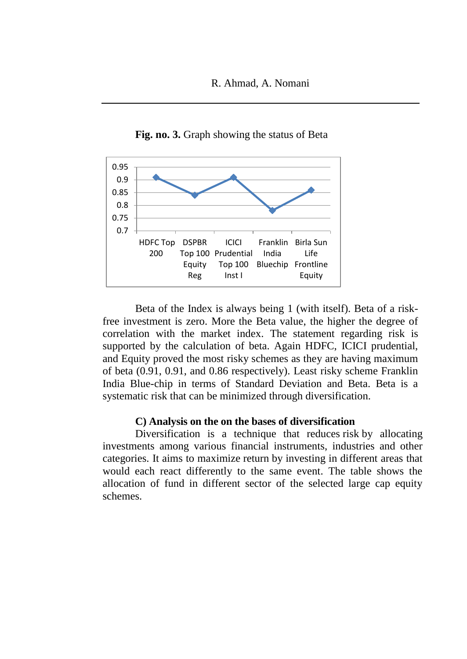

**Fig. no. 3.** Graph showing the status of Beta

Beta of the Index is always being 1 (with itself). Beta of a riskfree investment is zero. More the Beta value, the higher the degree of correlation with the market index. The statement regarding risk is supported by the calculation of beta. Again HDFC, ICICI prudential, and Equity proved the most risky schemes as they are having maximum of beta (0.91, 0.91, and 0.86 respectively). Least risky scheme Franklin India Blue-chip in terms of Standard Deviation and Beta. Beta is a systematic risk that can be minimized through diversification.

#### **C) Analysis on the on the bases of diversification**

Diversification is a technique that reduces risk by allocating investments among various financial instruments, industries and other categories. It aims to maximize return by investing in different areas that would each react differently to the same event. The table shows the allocation of fund in different sector of the selected large cap equity schemes.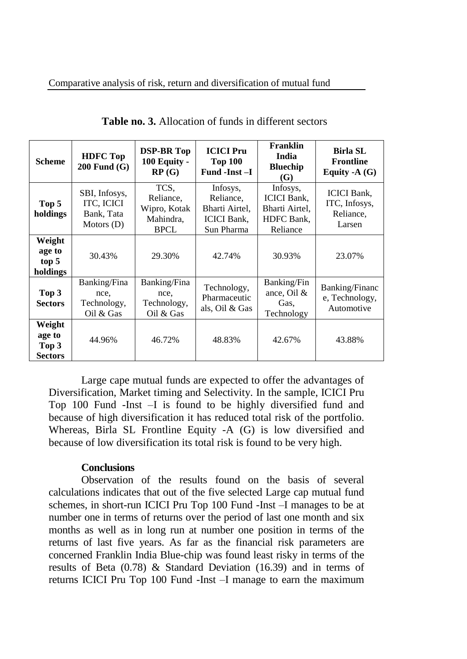| <b>Scheme</b>                               | <b>HDFC</b> Top<br>$200$ Fund $(G)$                       | <b>DSP-BR Top</b><br>100 Equity -<br>RP(G)                    | <b>ICICI</b> Pru<br><b>Top 100</b><br>Fund -Inst -I                         | Franklin<br>India<br><b>Bluechip</b><br>(G)                                | <b>Birla SL</b><br><b>Frontline</b><br>Equity - $A(G)$     |
|---------------------------------------------|-----------------------------------------------------------|---------------------------------------------------------------|-----------------------------------------------------------------------------|----------------------------------------------------------------------------|------------------------------------------------------------|
| Top 5<br>holdings                           | SBI, Infosys,<br>ITC, ICICI<br>Bank, Tata<br>Motors $(D)$ | TCS.<br>Reliance,<br>Wipro, Kotak<br>Mahindra,<br><b>BPCL</b> | Infosys,<br>Reliance,<br>Bharti Airtel,<br><b>ICICI</b> Bank,<br>Sun Pharma | Infosys,<br><b>ICICI</b> Bank,<br>Bharti Airtel,<br>HDFC Bank,<br>Reliance | <b>ICICI</b> Bank.<br>ITC, Infosys,<br>Reliance,<br>Larsen |
| Weight<br>age to<br>top 5<br>holdings       | 30.43%                                                    | 29.30%                                                        | 42.74%                                                                      | 30.93%                                                                     | 23.07%                                                     |
| Top 3<br><b>Sectors</b>                     | Banking/Fina<br>nce,<br>Technology,<br>Oil & Gas          | Banking/Fina<br>nce,<br>Technology,<br>Oil & Gas              | Technology,<br>Pharmaceutic<br>als, Oil & Gas                               | <b>Banking/Fin</b><br>ance, Oil $&$<br>Gas.<br>Technology                  | <b>Banking/Financ</b><br>e, Technology,<br>Automotive      |
| Weight<br>age to<br>Top 3<br><b>Sectors</b> | 44.96%                                                    | 46.72%                                                        | 48.83%                                                                      | 42.67%                                                                     | 43.88%                                                     |

**Table no. 3.** Allocation of funds in different sectors

Large cape mutual funds are expected to offer the advantages of Diversification, Market timing and Selectivity. In the sample, ICICI Pru Top 100 Fund -Inst –I is found to be highly diversified fund and because of high diversification it has reduced total risk of the portfolio. Whereas, Birla SL Frontline Equity -A (G) is low diversified and because of low diversification its total risk is found to be very high.

#### **Conclusions**

Observation of the results found on the basis of several calculations indicates that out of the five selected Large cap mutual fund schemes, in short-run ICICI Pru Top 100 Fund -Inst –I manages to be at number one in terms of returns over the period of last one month and six months as well as in long run at number one position in terms of the returns of last five years. As far as the financial risk parameters are concerned Franklin India Blue-chip was found least risky in terms of the results of Beta (0.78) & Standard Deviation (16.39) and in terms of returns ICICI Pru Top 100 Fund -Inst –I manage to earn the maximum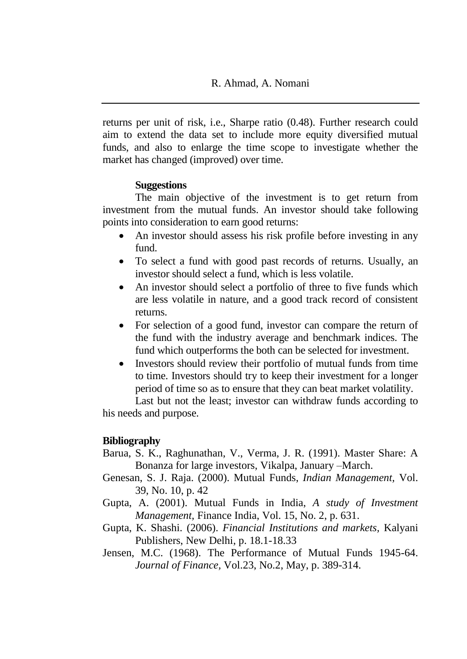returns per unit of risk, i.e., Sharpe ratio (0.48). Further research could aim to extend the data set to include more equity diversified mutual funds, and also to enlarge the time scope to investigate whether the market has changed (improved) over time.

### **Suggestions**

The main objective of the investment is to get return from investment from the mutual funds. An investor should take following points into consideration to earn good returns:

- An investor should assess his risk profile before investing in any fund.
- To select a fund with good past records of returns. Usually, an investor should select a fund, which is less volatile.
- An investor should select a portfolio of three to five funds which are less volatile in nature, and a good track record of consistent returns.
- For selection of a good fund, investor can compare the return of the fund with the industry average and benchmark indices. The fund which outperforms the both can be selected for investment.
- Investors should review their portfolio of mutual funds from time to time. Investors should try to keep their investment for a longer period of time so as to ensure that they can beat market volatility.

Last but not the least; investor can withdraw funds according to his needs and purpose.

# **Bibliography**

- Barua, S. K., Raghunathan, V., Verma, J. R. (1991). Master Share: A Bonanza for large investors, Vikalpa, January –March.
- Genesan, S. J. Raja. (2000). Mutual Funds, *Indian Management,* Vol. 39, No. 10, p. 42
- Gupta, A. (2001). Mutual Funds in India, *A study of Investment Management,* Finance India, Vol. 15, No. 2, p. 631.
- Gupta, K. Shashi. (2006). *Financial Institutions and markets,* Kalyani Publishers, New Delhi, p. 18.1-18.33
- Jensen, M.C. (1968). The Performance of Mutual Funds 1945-64. *Journal of Finance,* Vol.23, No.2, May, p. 389-314.